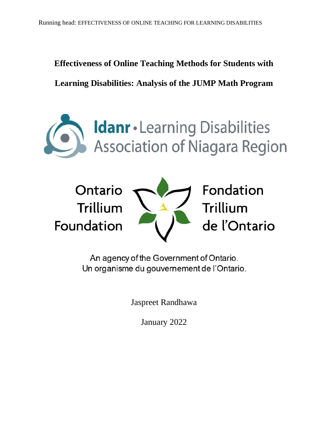# **Effectiveness of Online Teaching Methods for Students with**

**Learning Disabilities: Analysis of the JUMP Math Program**





An agency of the Government of Ontario. Un organisme du gouvernement de l'Ontario.

Jaspreet Randhawa

January 2022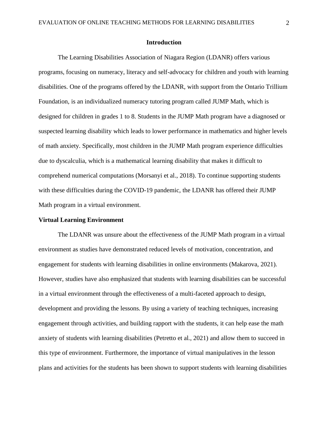## **Introduction**

The Learning Disabilities Association of Niagara Region (LDANR) offers various programs, focusing on numeracy, literacy and self-advocacy for children and youth with learning disabilities. One of the programs offered by the LDANR, with support from the Ontario Trillium Foundation, is an individualized numeracy tutoring program called JUMP Math, which is designed for children in grades 1 to 8. Students in the JUMP Math program have a diagnosed or suspected learning disability which leads to lower performance in mathematics and higher levels of math anxiety. Specifically, most children in the JUMP Math program experience difficulties due to dyscalculia, which is a mathematical learning disability that makes it difficult to comprehend numerical computations (Morsanyi et al., 2018). To continue supporting students with these difficulties during the COVID-19 pandemic, the LDANR has offered their JUMP Math program in a virtual environment.

#### **Virtual Learning Environment**

The LDANR was unsure about the effectiveness of the JUMP Math program in a virtual environment as studies have demonstrated reduced levels of motivation, concentration, and engagement for students with learning disabilities in online environments (Makarova, 2021). However, studies have also emphasized that students with learning disabilities can be successful in a virtual environment through the effectiveness of a multi-faceted approach to design, development and providing the lessons. By using a variety of teaching techniques, increasing engagement through activities, and building rapport with the students, it can help ease the math anxiety of students with learning disabilities (Petretto et al., 2021) and allow them to succeed in this type of environment. Furthermore, the importance of virtual manipulatives in the lesson plans and activities for the students has been shown to support students with learning disabilities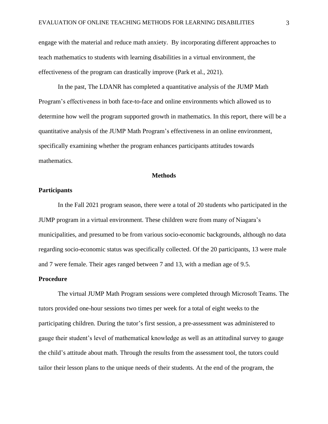engage with the material and reduce math anxiety. By incorporating different approaches to teach mathematics to students with learning disabilities in a virtual environment, the effectiveness of the program can drastically improve (Park et al., 2021).

In the past, The LDANR has completed a quantitative analysis of the JUMP Math Program's effectiveness in both face-to-face and online environments which allowed us to determine how well the program supported growth in mathematics. In this report, there will be a quantitative analysis of the JUMP Math Program's effectiveness in an online environment, specifically examining whether the program enhances participants attitudes towards mathematics.

#### **Methods**

### **Participants**

In the Fall 2021 program season, there were a total of 20 students who participated in the JUMP program in a virtual environment. These children were from many of Niagara's municipalities, and presumed to be from various socio-economic backgrounds, although no data regarding socio-economic status was specifically collected. Of the 20 participants, 13 were male and 7 were female. Their ages ranged between 7 and 13, with a median age of 9.5.

#### **Procedure**

The virtual JUMP Math Program sessions were completed through Microsoft Teams. The tutors provided one-hour sessions two times per week for a total of eight weeks to the participating children. During the tutor's first session, a pre-assessment was administered to gauge their student's level of mathematical knowledge as well as an attitudinal survey to gauge the child's attitude about math. Through the results from the assessment tool, the tutors could tailor their lesson plans to the unique needs of their students. At the end of the program, the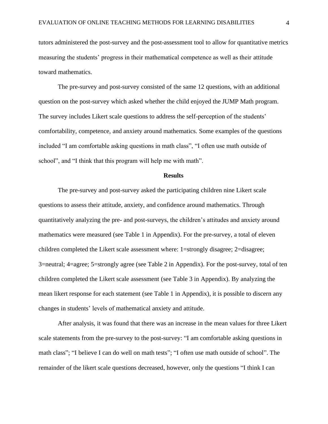tutors administered the post-survey and the post-assessment tool to allow for quantitative metrics measuring the students' progress in their mathematical competence as well as their attitude toward mathematics.

The pre-survey and post-survey consisted of the same 12 questions, with an additional question on the post-survey which asked whether the child enjoyed the JUMP Math program. The survey includes Likert scale questions to address the self-perception of the students' comfortability, competence, and anxiety around mathematics. Some examples of the questions included "I am comfortable asking questions in math class", "I often use math outside of school", and "I think that this program will help me with math".

#### **Results**

The pre-survey and post-survey asked the participating children nine Likert scale questions to assess their attitude, anxiety, and confidence around mathematics. Through quantitatively analyzing the pre- and post-surveys, the children's attitudes and anxiety around mathematics were measured (see Table 1 in Appendix). For the pre-survey, a total of eleven children completed the Likert scale assessment where: 1=strongly disagree; 2=disagree; 3=neutral; 4=agree; 5=strongly agree (see Table 2 in Appendix). For the post-survey, total of ten children completed the Likert scale assessment (see Table 3 in Appendix). By analyzing the mean likert response for each statement (see Table 1 in Appendix), it is possible to discern any changes in students' levels of mathematical anxiety and attitude.

After analysis, it was found that there was an increase in the mean values for three Likert scale statements from the pre-survey to the post-survey: "I am comfortable asking questions in math class"; "I believe I can do well on math tests"; "I often use math outside of school". The remainder of the likert scale questions decreased, however, only the questions "I think I can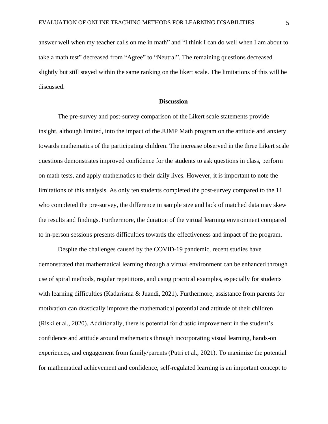answer well when my teacher calls on me in math" and "I think I can do well when I am about to take a math test" decreased from "Agree" to "Neutral". The remaining questions decreased slightly but still stayed within the same ranking on the likert scale. The limitations of this will be discussed.

#### **Discussion**

The pre-survey and post-survey comparison of the Likert scale statements provide insight, although limited, into the impact of the JUMP Math program on the attitude and anxiety towards mathematics of the participating children. The increase observed in the three Likert scale questions demonstrates improved confidence for the students to ask questions in class, perform on math tests, and apply mathematics to their daily lives. However, it is important to note the limitations of this analysis. As only ten students completed the post-survey compared to the 11 who completed the pre-survey, the difference in sample size and lack of matched data may skew the results and findings. Furthermore, the duration of the virtual learning environment compared to in-person sessions presents difficulties towards the effectiveness and impact of the program.

Despite the challenges caused by the COVID-19 pandemic, recent studies have demonstrated that mathematical learning through a virtual environment can be enhanced through use of spiral methods, regular repetitions, and using practical examples, especially for students with learning difficulties (Kadarisma & Juandi, 2021). Furthermore, assistance from parents for motivation can drastically improve the mathematical potential and attitude of their children (Riski et al., 2020). Additionally, there is potential for drastic improvement in the student's confidence and attitude around mathematics through incorporating visual learning, hands-on experiences, and engagement from family/parents (Putri et al., 2021). To maximize the potential for mathematical achievement and confidence, self-regulated learning is an important concept to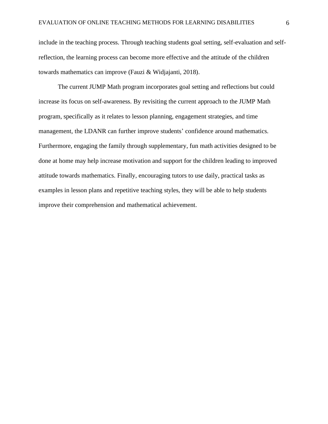include in the teaching process. Through teaching students goal setting, self-evaluation and selfreflection, the learning process can become more effective and the attitude of the children towards mathematics can improve (Fauzi & Widjajanti, 2018).

The current JUMP Math program incorporates goal setting and reflections but could increase its focus on self-awareness. By revisiting the current approach to the JUMP Math program, specifically as it relates to lesson planning, engagement strategies, and time management, the LDANR can further improve students' confidence around mathematics. Furthermore, engaging the family through supplementary, fun math activities designed to be done at home may help increase motivation and support for the children leading to improved attitude towards mathematics. Finally, encouraging tutors to use daily, practical tasks as examples in lesson plans and repetitive teaching styles, they will be able to help students improve their comprehension and mathematical achievement.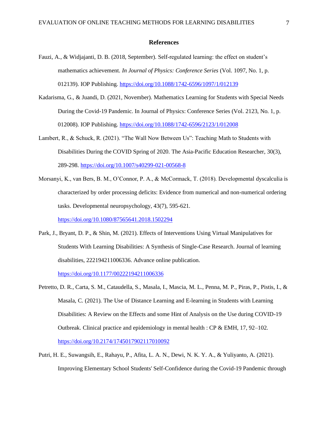#### **References**

- Fauzi, A., & Widjajanti, D. B. (2018, September). Self-regulated learning: the effect on student's mathematics achievement. *In Journal of Physics: Conference Series* (Vol. 1097, No. 1, p. 012139). IOP Publishing. <https://doi.org/10.1088/1742-6596/1097/1/012139>
- Kadarisma, G., & Juandi, D. (2021, November). Mathematics Learning for Students with Special Needs During the Covid-19 Pandemic. In Journal of Physics: Conference Series (Vol. 2123, No. 1, p. 012008). IOP Publishing.<https://doi.org/10.1088/1742-6596/2123/1/012008>
- Lambert, R., & Schuck, R. (2021). "The Wall Now Between Us": Teaching Math to Students with Disabilities During the COVID Spring of 2020. The Asia-Pacific Education Researcher, 30(3), 289-298. <https://doi.org/10.1007/s40299-021-00568-8>
- Morsanyi, K., van Bers, B. M., O'Connor, P. A., & McCormack, T. (2018). Developmental dyscalculia is characterized by order processing deficits: Evidence from numerical and non-numerical ordering tasks. Developmental neuropsychology, 43(7), 595-621.

<https://doi.org/10.1080/87565641.2018.1502294>

Park, J., Bryant, D. P., & Shin, M. (2021). Effects of Interventions Using Virtual Manipulatives for Students With Learning Disabilities: A Synthesis of Single-Case Research. Journal of learning disabilities, 222194211006336. Advance online publication.

<https://doi.org/10.1177/00222194211006336>

- Petretto, D. R., Carta, S. M., Cataudella, S., Masala, I., Mascia, M. L., Penna, M. P., Piras, P., Pistis, I., & Masala, C. (2021). The Use of Distance Learning and E-learning in Students with Learning Disabilities: A Review on the Effects and some Hint of Analysis on the Use during COVID-19 Outbreak. Clinical practice and epidemiology in mental health :  $CP & EMH$ , 17, 92–102. <https://doi.org/10.2174/1745017902117010092>
- Putri, H. E., Suwangsih, E., Rahayu, P., Afita, L. A. N., Dewi, N. K. Y. A., & Yuliyanto, A. (2021). Improving Elementary School Students' Self-Confidence during the Covid-19 Pandemic through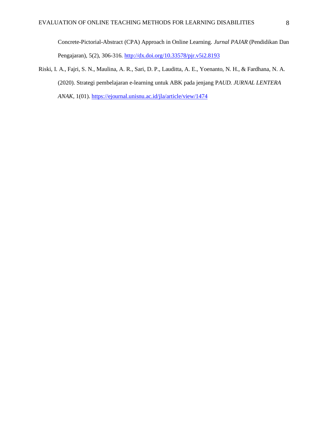Concrete-Pictorial-Abstract (CPA) Approach in Online Learning. *Jurnal PAJAR* (Pendidikan Dan Pengajaran), 5(2), 306-316. <http://dx.doi.org/10.33578/pjr.v5i2.8193>

Riski, I. A., Fajri, S. N., Maulina, A. R., Sari, D. P., Lauditta, A. E., Yoenanto, N. H., & Fardhana, N. A. (2020). Strategi pembelajaran e-learning untuk ABK pada jenjang P*AUD. JURNAL LENTERA ANAK,* 1(01). <https://ejournal.unisnu.ac.id/jla/article/view/1474>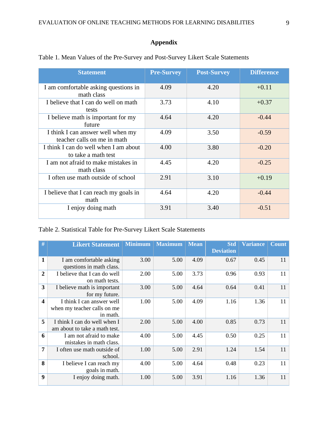# **Appendix**

| <b>Statement</b>                                                 | <b>Pre-Survey</b> | <b>Post-Survey</b> | <b>Difference</b> |
|------------------------------------------------------------------|-------------------|--------------------|-------------------|
| I am comfortable asking questions in<br>math class               | 4.09              | 4.20               | $+0.11$           |
| I believe that I can do well on math<br>tests                    | 3.73              | 4.10               | $+0.37$           |
| I believe math is important for my<br>future                     | 4.64              | 4.20               | $-0.44$           |
| I think I can answer well when my<br>teacher calls on me in math | 4.09              | 3.50               | $-0.59$           |
| I think I can do well when I am about<br>to take a math test     | 4.00              | 3.80               | $-0.20$           |
| I am not afraid to make mistakes in<br>math class                | 4.45              | 4.20               | $-0.25$           |
| I often use math outside of school                               | 2.91              | 3.10               | $+0.19$           |
| I believe that I can reach my goals in<br>math                   | 4.64              | 4.20               | $-0.44$           |
| I enjoy doing math                                               | 3.91              | 3.40               | $-0.51$           |

Table 1. Mean Values of the Pre-Survey and Post-Survey Likert Scale Statements

# Table 2. Statistical Table for Pre-Survey Likert Scale Statements

| #                       | <b>Likert Statement</b>                                              | <b>Minimum</b> | <b>Maximum</b> | <b>Mean</b> | <b>Std</b><br><b>Deviation</b> | <b>Variance</b> | <b>Count</b> |
|-------------------------|----------------------------------------------------------------------|----------------|----------------|-------------|--------------------------------|-----------------|--------------|
| 1                       | I am comfortable asking<br>questions in math class.                  | 3.00           | 5.00           | 4.09        | 0.67                           | 0.45            | 11           |
| $\overline{2}$          | I believe that I can do well<br>on math tests.                       | 2.00           | 5.00           | 3.73        | 0.96                           | 0.93            | 11           |
| 3                       | I believe math is important<br>for my future.                        | 3.00           | 5.00           | 4.64        | 0.64                           | 0.41            | 11           |
| $\overline{\mathbf{4}}$ | I think I can answer well<br>when my teacher calls on me<br>in math. | 1.00           | 5.00           | 4.09        | 1.16                           | 1.36            | 11           |
| 5                       | I think I can do well when I<br>am about to take a math test.        | 2.00           | 5.00           | 4.00        | 0.85                           | 0.73            | 11           |
| 6                       | I am not afraid to make<br>mistakes in math class.                   | 4.00           | 5.00           | 4.45        | 0.50                           | 0.25            | 11           |
| 7                       | I often use math outside of<br>school.                               | 1.00           | 5.00           | 2.91        | 1.24                           | 1.54            | 11           |
| 8                       | I believe I can reach my<br>goals in math.                           | 4.00           | 5.00           | 4.64        | 0.48                           | 0.23            | 11           |
| 9                       | I enjoy doing math.                                                  | 1.00           | 5.00           | 3.91        | 1.16                           | 1.36            | 11           |